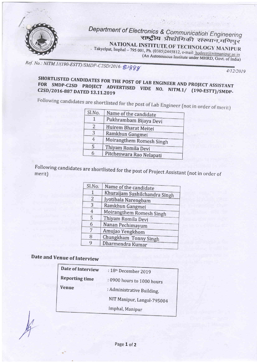

Department' of Electronics & राष्ट्रीय NATIONAL INSTITUTE OF TECHNOLOGY MANIPUR

. Takyelpat, Imphal - 795 001, Ph. (0385)2445812, e-mail: hodece@nitmanipur.ae.in (An Autonomous Institute under MHRD, Govt. of India)

Standard Reflect Report  $\mathcal{P}_{\mathcal{S}}(\mathcal{E}_{\mathcal{S}}) \leq \mathcal{P}_{\mathcal{S}}(\mathcal{E}_{\mathcal{S}}) \leq \mathcal{P}_{\mathcal{S}}(\mathcal{E}_{\mathcal{S}}) \leq \mathcal{P}_{\mathcal{S}}(\mathcal{E}_{\mathcal{S}})$ 

Ref. No.: NITM.1/(190-ESTT)/SMDP-C2SD/2016-2388

4/12/2019

## ENGINEER AND PROJECT ASSISTANT SHORTLISTED CANDIDATES FOR THE POST OF LAB ENGINEER AND PROJECT ASSISTAN<br>FOR SMDP-C2SD PROJECT ADVERTISED VIDE NO. NITM.1/ (190-ESTT)/SMDF<br>C2SD/2016-887 DATED 13.11.2019 NO. NITM.1/

|  | Sl.No. | Name of the candidate    |
|--|--------|--------------------------|
|  |        | Pukhrambam Bijaya Devi   |
|  | 2      | Huirem Bharat Meitei     |
|  | 3      | Ramkhun Gangmei          |
|  | 4      | Moirangthem Romesh Singh |
|  | 5      | Thiyam Romila Devi       |
|  |        | Pitcheswara Rao Nelapati |
|  |        |                          |

Following candidates are shortlisted for the post of Project Assistant (not in order of<br>merit) merit)

| Sl.No. | Name of the candidate         |
|--------|-------------------------------|
|        |                               |
| 1      | Khuraijam Sushilchandra Singh |
| 2      | Jyotibala Narengbam           |
| 3      | Ramkhun Gangmei               |
| 4      | Moirangthem Romesh Singh      |
| 5      | Thiyam Romila Devi            |
| 6      | Nanan Pechimayum              |
| 7      | Amujao Yengkhom               |
| 8      | Chungkham Tonny Singh         |
| 9      | Dharmendra Kumar              |

## Date and Venue of Interview

| Date of Interview     | : 18th December 2019       |
|-----------------------|----------------------------|
| <b>Reporting time</b> | : 0900 hours to 1000 hours |
| <b>Venue</b>          | : Administrative Building, |
|                       | NIT Manipur, Langol-795004 |
|                       | Imphal, Manipur            |